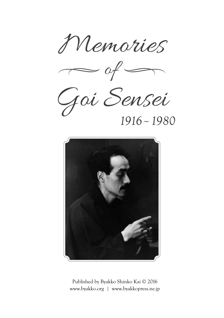Memories

 $\rightharpoonup$  of  $\lt$ 





Published by Byakko Shinko Kai © 2016 [www.byakko.org](http://www.byakko.org) | [www.byakkopress.ne.jp](http://www.byakkopress.ne.jp)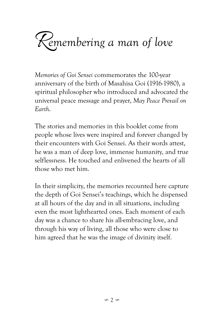# R*emembering a man of love*

*Memories of Goi Sensei* commemorates the 100-year anniversary of the birth of Masahisa Goi (1916-1980), a spiritual philosopher who introduced and advocated the universal peace message and prayer, *May Peace Prevail on Earth*.

The stories and memories in this booklet come from people whose lives were inspired and forever changed by their encounters with Goi Sensei. As their words attest, he was a man of deep love, immense humanity, and true selflessness. He touched and enlivened the hearts of all those who met him.

In their simplicity, the memories recounted here capture the depth of Goi Sensei's teachings, which he dispensed at all hours of the day and in all situations, including even the most lighthearted ones. Each moment of each day was a chance to share his all-embracing love, and through his way of living, all those who were close to him agreed that he was the image of divinity itself.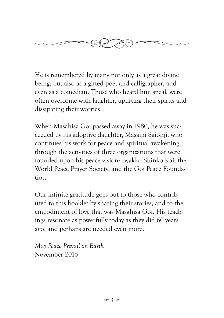

He is remembered by many not only as a great divine being, but also as a gifted poet and calligrapher, and even as a comedian. Those who heard him speak were often overcome with laughter, uplifting their spirits and dissipating their worries.

When Masahisa Goi passed away in 1980, he was succeeded by his adoptive daughter, Masami Saionji, who continues his work for peace and spiritual awakening through the activities of three organizations that were founded upon his peace vision: Byakko Shinko Kai, the World Peace Prayer Society, and the Goi Peace Foundation.

Our infinite gratitude goes out to those who contributed to this booklet by sharing their stories, and to the embodiment of love that was Masahisa Goi. His teachings resonate as powerfully today as they did 60 years ago, and perhaps are needed even more.

*May Peace Prevail on Earth* November 2016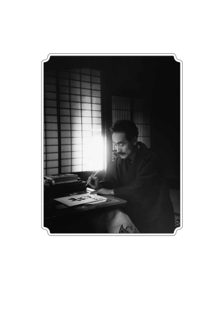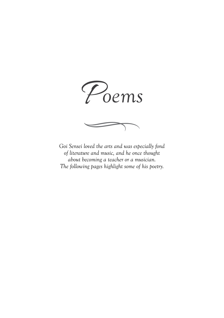



*Goi Sensei loved the arts and was especially fond of literature and music, and he once thought about becoming a teacher or a musician. The following pages highlight some of his poetry.*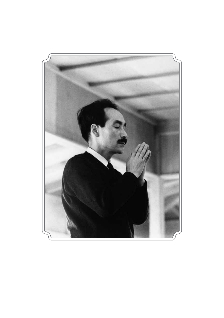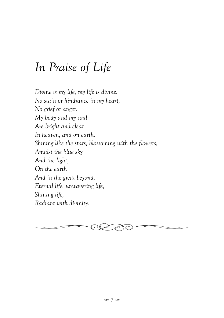#### *In Praise of Life*

*Divine is my life, my life is divine. No stain or hindrance in my heart, No grief or anger. My body and my soul Are bright and clear In heaven, and on earth. Shining like the stars, blossoming with the flowers, Amidst the blue sky And the light, On the earth And in the great beyond, Eternal life, unwavering life, Shining life, Radiant with divinity.*

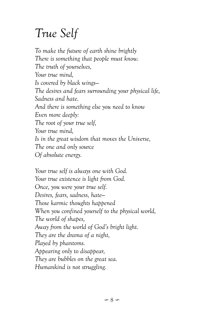# *True Self*

*To make the future of earth shine brightly There is something that people must know. The truth of yourselves, Your true mind, Is covered by black wings— The desires and fears surrounding your physical life, Sadness and hate. And there is something else you need to know Even more deeply: The root of your true self, Your true mind, Is in the great wisdom that moves the Universe, The one and only source Of absolute energy.*

*Your true self is always one with God. Your true existence is light from God. Once, you were your true self. Desires, fears, sadness, hate— Those karmic thoughts happened When you confined yourself to the physical world, The world of shapes, Away from the world of God's bright light. They are the drama of a night, Played by phantoms. Appearing only to disappear, They are bubbles on the great sea. Humankind is not struggling.*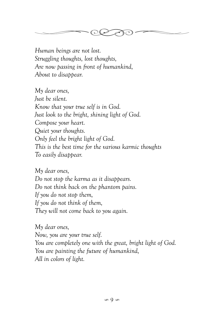

*Human beings are not lost. Struggling thoughts, lost thoughts, Are now passing in front of humankind, About to disappear.*

*My dear ones, Just be silent. Know that your true self is in God. Just look to the bright, shining light of God. Compose your heart. Quiet your thoughts. Only feel the bright light of God. This is the best time for the various karmic thoughts To easily disappear.*

*My dear ones, Do not stop the karma as it disappears. Do not think back on the phantom pains. If you do not stop them, If you do not think of them, They will not come back to you again.*

*My dear ones, Now, you are your true self. You are completely one with the great, bright light of God. You are painting the future of humankind, All in colors of light.*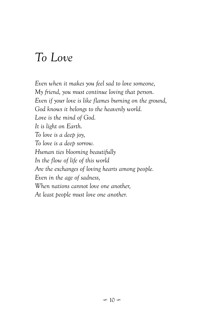### *To Love*

*Even when it makes you feel sad to love someone, My friend, you must continue loving that person. Even if your love is like flames burning on the ground, God knows it belongs to the heavenly world. Love is the mind of God. It is light on Earth. To love is a deep joy, To love is a deep sorrow. Human ties blooming beautifully In the flow of life of this world Are the exchanges of loving hearts among people. Even in the age of sadness, When nations cannot love one another, At least people must love one another.*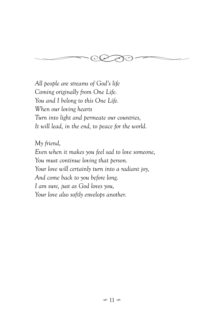

*All people are streams of God's life Coming originally from One Life. You and I belong to this One Life. When our loving hearts Turn into light and permeate our countries, It will lead, in the end, to peace for the world.* 

*My friend, Even when it makes you feel sad to love someone, You must continue loving that person. Your love will certainly turn into a radiant joy, And come back to you before long. I am sure, just as God loves you, Your love also softly envelops another.*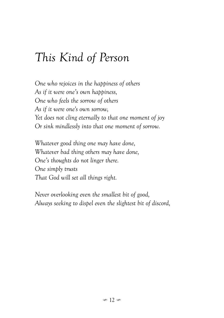### *This Kind of Person*

*One who rejoices in the happiness of others As if it were one's own happiness, One who feels the sorrow of others As if it were one's own sorrow, Yet does not cling eternally to that one moment of joy Or sink mindlessly into that one moment of sorrow.*

*Whatever good thing one may have done, Whatever bad thing others may have done, One's thoughts do not linger there. One simply trusts That God will set all things right.*

*Never overlooking even the smallest bit of good, Always seeking to dispel even the slightest bit of discord,*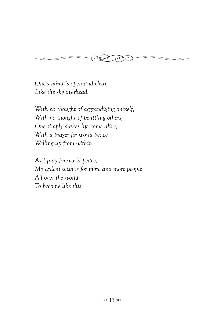

*One's mind is open and clear, Like the sky overhead.*

*With no thought of aggrandizing oneself, With no thought of belittling others, One simply makes life come alive, With a prayer for world peace Welling up from within.*

*As I pray for world peace, My ardent wish is for more and more people All over the world To become like this.*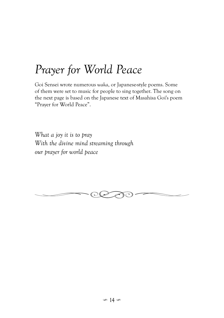### *Prayer for World Peace*

Goi Sensei wrote numerous *waka*, or Japanese-style poems. Some of them were set to music for people to sing together. The song on the next page is based on the Japanese text of Masahisa Goi's poem "Prayer for World Peace".

*What a joy it is to pray With the divine mind streaming through our prayer for world peace*

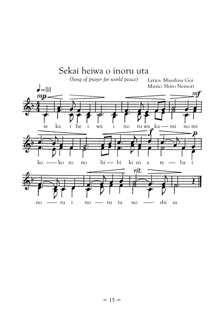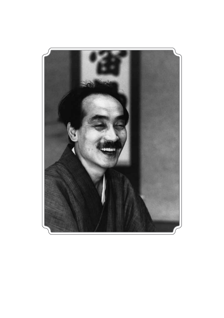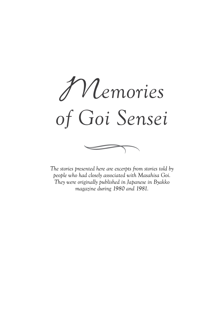



*The stories presented here are excerpts from stories told by people who had closely associated with Masahisa Goi. They were originally published in Japanese in Byakko magazine during 1980 and 1981.*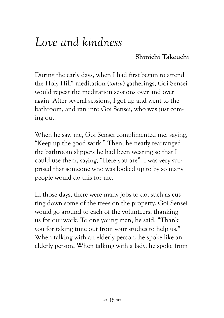### *Love and kindness*

#### **Shinichi Takeuchi**

During the early days, when I had first begun to attend the Holy Hill\* meditation (*tôitsu*) gatherings, Goi Sensei would repeat the meditation sessions over and over again. After several sessions, I got up and went to the bathroom, and ran into Goi Sensei, who was just coming out.

When he saw me, Goi Sensei complimented me, saying, "Keep up the good work!" Then, he neatly rearranged the bathroom slippers he had been wearing so that I could use them, saying, "Here you are". I was very surprised that someone who was looked up to by so many people would do this for me.

In those days, there were many jobs to do, such as cutting down some of the trees on the property. Goi Sensei would go around to each of the volunteers, thanking us for our work. To one young man, he said, "Thank you for taking time out from your studies to help us." When talking with an elderly person, he spoke like an elderly person. When talking with a lady, he spoke from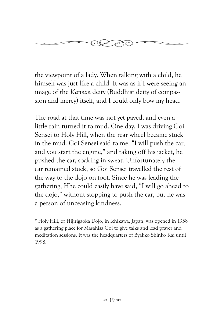the viewpoint of a lady. When talking with a child, he himself was just like a child. It was as if I were seeing an image of the *Kannon* deity (Buddhist deity of compassion and mercy) itself, and I could only bow my head.

The road at that time was not yet paved, and even a little rain turned it to mud. One day, I was driving Goi Sensei to Holy Hill, when the rear wheel became stuck in the mud. Goi Sensei said to me, "I will push the car, and you start the engine," and taking off his jacket, he pushed the car, soaking in sweat. Unfortunately the car remained stuck, so Goi Sensei travelled the rest of the way to the dojo on foot. Since he was leading the gathering, Hhe could easily have said, "I will go ahead to the dojo," without stopping to push the car, but he was a person of unceasing kindness.

\* Holy Hill, or Hijirigaoka Dojo, in Ichikawa, Japan, was opened in 1958 as a gathering place for Masahisa Goi to give talks and lead prayer and meditation sessions. It was the headquarters of Byakko Shinko Kai until 1998.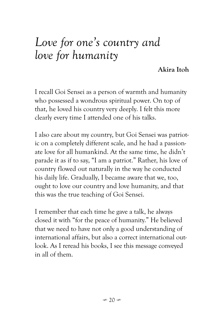### *Love for one's country and love for humanity*

#### **Akira Itoh**

I recall Goi Sensei as a person of warmth and humanity who possessed a wondrous spiritual power. On top of that, he loved his country very deeply. I felt this more clearly every time I attended one of his talks.

I also care about my country, but Goi Sensei was patriotic on a completely different scale, and he had a passionate love for all humankind. At the same time, he didn't parade it as if to say, "I am a patriot." Rather, his love of country flowed out naturally in the way he conducted his daily life. Gradually, I became aware that we, too, ought to love our country and love humanity, and that this was the true teaching of Goi Sensei.

I remember that each time he gave a talk, he always closed it with "for the peace of humanity." He believed that we need to have not only a good understanding of international affairs, but also a correct international outlook. As I reread his books, I see this message conveyed in all of them.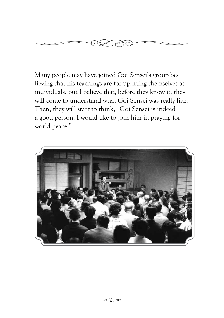

Many people may have joined Goi Sensei's group believing that his teachings are for uplifting themselves as individuals, but I believe that, before they know it, they will come to understand what Goi Sensei was really like. Then, they will start to think, "Goi Sensei is indeed a good person. I would like to join him in praying for world peace."

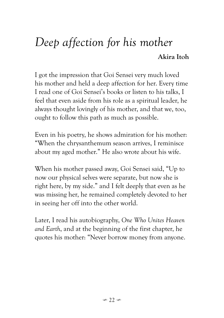### *Deep affection for his mother*  **Akira Itoh**

I got the impression that Goi Sensei very much loved his mother and held a deep affection for her. Every time I read one of Goi Sensei's books or listen to his talks, I feel that even aside from his role as a spiritual leader, he always thought lovingly of his mother, and that we, too, ought to follow this path as much as possible.

Even in his poetry, he shows admiration for his mother: "When the chrysanthemum season arrives, I reminisce about my aged mother." He also wrote about his wife.

When his mother passed away, Goi Sensei said, "Up to now our physical selves were separate, but now she is right here, by my side." and I felt deeply that even as he was missing her, he remained completely devoted to her in seeing her off into the other world.

Later, I read his autobiography, *One Who Unites Heaven and Earth*, and at the beginning of the first chapter, he quotes his mother: "Never borrow money from anyone.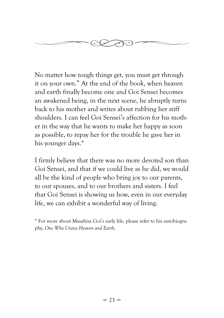

No matter how tough things get, you must get through it on your own." At the end of the book, when heaven and earth finally become one and Goi Sensei becomes an awakened being, in the next scene, he abruptly turns back to his mother and writes about rubbing her stiff shoulders. I can feel Goi Sensei's affection for his mother in the way that he wants to make her happy as soon as possible, to repay her for the trouble he gave her in his younger days.\*

I firmly believe that there was no more devoted son than Goi Sensei, and that if we could live as he did, we would all be the kind of people who bring joy to our parents, to our spouses, and to our brothers and sisters. I feel that Goi Sensei is showing us how, even in our everyday life, we can exhibit a wonderful way of living.

\* For more about Masahisa Goi's early life, please refer to his autobiography, *One Who Unites Heaven and Earth*.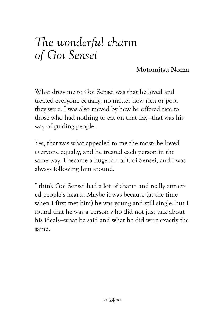### *The wonderful charm of Goi Sensei*

#### **Motomitsu Noma**

What drew me to Goi Sensei was that he loved and treated everyone equally, no matter how rich or poor they were. I was also moved by how he offered rice to those who had nothing to eat on that day—that was his way of guiding people.

Yes, that was what appealed to me the most: he loved everyone equally, and he treated each person in the same way. I became a huge fan of Goi Sensei, and I was always following him around.

I think Goi Sensei had a lot of charm and really attracted people's hearts. Maybe it was because (at the time when I first met him) he was young and still single, but I found that he was a person who did not just talk about his ideals—what he said and what he did were exactly the same.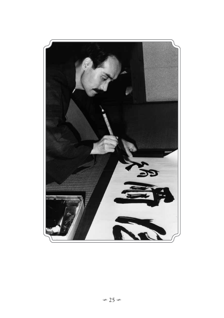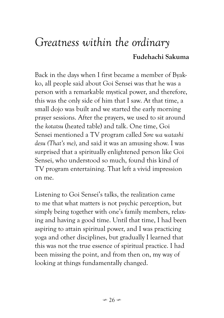#### *Greatness within the ordinary*  **Fudehachi Sakuma**

Back in the days when I first became a member of Byakko, all people said about Goi Sensei was that he was a person with a remarkable mystical power, and therefore, this was the only side of him that I saw. At that time, a small dojo was built and we started the early morning prayer sessions. After the prayers, we used to sit around the *kotatsu* (heated table) and talk. One time, Goi Sensei mentioned a TV program called *Sore wa watashi desu (That's me)*, and said it was an amusing show. I was surprised that a spiritually enlightened person like Goi Sensei, who understood so much, found this kind of TV program entertaining. That left a vivid impression on me.

Listening to Goi Sensei's talks, the realization came to me that what matters is not psychic perception, but simply being together with one's family members, relaxing and having a good time. Until that time, I had been aspiring to attain spiritual power, and I was practicing yoga and other disciplines, but gradually I learned that this was not the true essence of spiritual practice. I had been missing the point, and from then on, my way of looking at things fundamentally changed.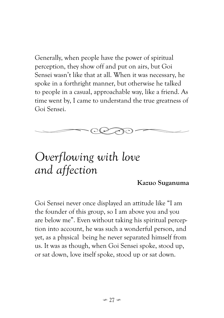Generally, when people have the power of spiritual perception, they show off and put on airs, but Goi Sensei wasn't like that at all. When it was necessary, he spoke in a forthright manner, but otherwise he talked to people in a casual, approachable way, like a friend. As time went by, I came to understand the true greatness of Goi Sensei.



### *Overflowing with love and affection*

#### **Kazuo Suganuma**

Goi Sensei never once displayed an attitude like "I am the founder of this group, so I am above you and you are below me". Even without taking his spiritual perception into account, he was such a wonderful person, and yet, as a physical being he never separated himself from us. It was as though, when Goi Sensei spoke, stood up, or sat down, love itself spoke, stood up or sat down.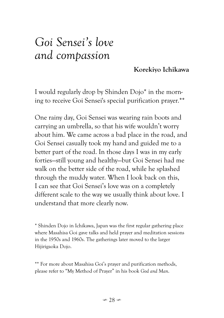#### *Goi Sensei's love and compassion*

#### **Korekiyo Ichikawa**

I would regularly drop by Shinden Dojo\* in the morning to receive Goi Sensei's special purification prayer.\*\*

One rainy day, Goi Sensei was wearing rain boots and carrying an umbrella, so that his wife wouldn't worry about him. We came across a bad place in the road, and Goi Sensei casually took my hand and guided me to a better part of the road. In those days I was in my early forties—still young and healthy—but Goi Sensei had me walk on the better side of the road, while he splashed through the muddy water. When I look back on this, I can see that Goi Sensei's love was on a completely different scale to the way we usually think about love. I understand that more clearly now.

\* Shinden Dojo in Ichikawa, Japan was the first regular gathering place where Masahisa Goi gave talks and held prayer and meditation sessions in the 1950s and 1960s. The gatherings later moved to the larger Hijirigaoka Dojo.

\*\* For more about Masahisa Goi's prayer and purification methods, please refer to "My Method of Prayer" in his book *God and Man*.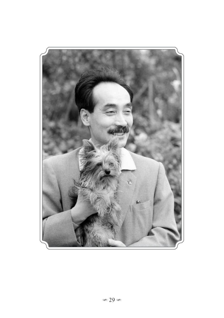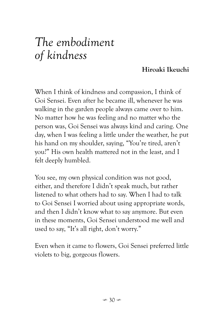### *The embodiment of kindness*

#### **Hiroaki Ikeuchi**

When I think of kindness and compassion, I think of Goi Sensei. Even after he became ill, whenever he was walking in the garden people always came over to him. No matter how he was feeling and no matter who the person was, Goi Sensei was always kind and caring. One day, when I was feeling a little under the weather, he put his hand on my shoulder, saying, "You're tired, aren't you?" His own health mattered not in the least, and I felt deeply humbled.

You see, my own physical condition was not good, either, and therefore I didn't speak much, but rather listened to what others had to say. When I had to talk to Goi Sensei I worried about using appropriate words, and then I didn't know what to say anymore. But even in these moments, Goi Sensei understood me well and used to say, "It's all right, don't worry."

Even when it came to flowers, Goi Sensei preferred little violets to big, gorgeous flowers.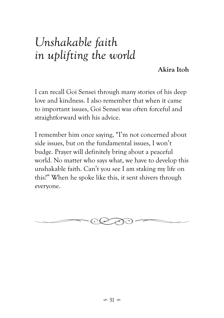### *Unshakable faith in uplifting the world*

#### **Akira Itoh**

I can recall Goi Sensei through many stories of his deep love and kindness. I also remember that when it came to important issues, Goi Sensei was often forceful and straightforward with his advice.

I remember him once saying, "I'm not concerned about side issues, but on the fundamental issues, I won't budge. Prayer will definitely bring about a peaceful world. No matter who says what, we have to develop this unshakable faith. Can't you see I am staking my life on this?" When he spoke like this, it sent shivers through everyone.

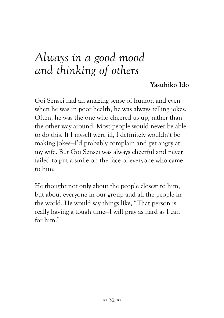### *Always in a good mood and thinking of others*

#### **Yasuhiko Ido**

Goi Sensei had an amazing sense of humor, and even when he was in poor health, he was always telling jokes. Often, he was the one who cheered us up, rather than the other way around. Most people would never be able to do this. If I myself were ill, I definitely wouldn't be making jokes—I'd probably complain and get angry at my wife. But Goi Sensei was always cheerful and never failed to put a smile on the face of everyone who came to him.

He thought not only about the people closest to him, but about everyone in our group and all the people in the world. He would say things like, "That person is really having a tough time—I will pray as hard as I can for him."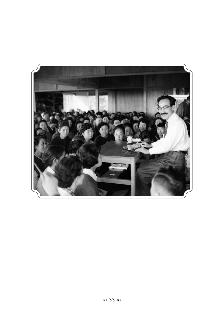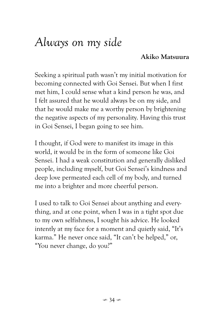### *Always on my side*

#### **Akiko Matsuura**

Seeking a spiritual path wasn't my initial motivation for becoming connected with Goi Sensei. But when I first met him, I could sense what a kind person he was, and I felt assured that he would always be on my side, and that he would make me a worthy person by brightening the negative aspects of my personality. Having this trust in Goi Sensei, I began going to see him.

I thought, if God were to manifest its image in this world, it would be in the form of someone like Goi Sensei. I had a weak constitution and generally disliked people, including myself, but Goi Sensei's kindness and deep love permeated each cell of my body, and turned me into a brighter and more cheerful person.

I used to talk to Goi Sensei about anything and everything, and at one point, when I was in a tight spot due to my own selfishness, I sought his advice. He looked intently at my face for a moment and quietly said, "It's karma." He never once said, "It can't be helped," or, "You never change, do you?"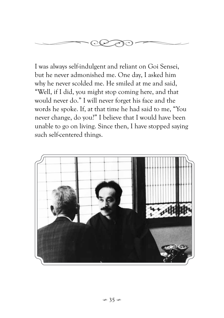I was always self-indulgent and reliant on Goi Sensei, but he never admonished me. One day, I asked him why he never scolded me. He smiled at me and said, "Well, if I did, you might stop coming here, and that would never do." I will never forget his face and the words he spoke. If, at that time he had said to me, "You never change, do you?" I believe that I would have been unable to go on living. Since then, I have stopped saying such self-centered things.

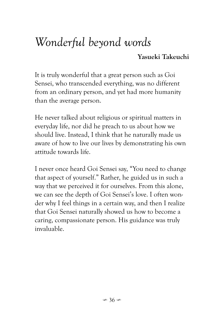## *Wonderful beyond words*

#### **Yasueki Takeuchi**

It is truly wonderful that a great person such as Goi Sensei, who transcended everything, was no different from an ordinary person, and yet had more humanity than the average person.

He never talked about religious or spiritual matters in everyday life, nor did he preach to us about how we should live. Instead, I think that he naturally made us aware of how to live our lives by demonstrating his own attitude towards life.

I never once heard Goi Sensei say, "You need to change that aspect of yourself." Rather, he guided us in such a way that we perceived it for ourselves. From this alone, we can see the depth of Goi Sensei's love. I often wonder why I feel things in a certain way, and then I realize that Goi Sensei naturally showed us how to become a caring, compassionate person. His guidance was truly invaluable.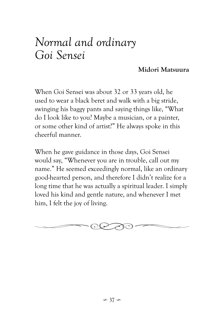#### *Normal and ordinary Goi Sensei*

#### **Midori Matsuura**

When Goi Sensei was about 32 or 33 years old, he used to wear a black beret and walk with a big stride, swinging his baggy pants and saying things like, "What do I look like to you? Maybe a musician, or a painter, or some other kind of artist?" He always spoke in this cheerful manner.

When he gave guidance in those days, Goi Sensei would say, "Whenever you are in trouble, call out my name." He seemed exceedingly normal, like an ordinary good-hearted person, and therefore I didn't realize for a long time that he was actually a spiritual leader. I simply loved his kind and gentle nature, and whenever I met him, I felt the joy of living.

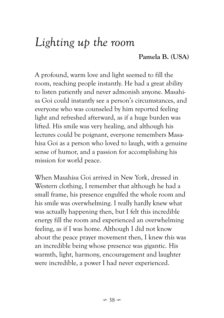### *Lighting up the room*

#### Pamela B. (USA)

A profound, warm love and light seemed to fill the room, reaching people instantly. He had a great ability to listen patiently and never admonish anyone. Masahisa Goi could instantly see a person's circumstances, and everyone who was counseled by him reported feeling light and refreshed afterward, as if a huge burden was lifted. His smile was very healing, and although his lectures could be poignant, everyone remembers Masahisa Goi as a person who loved to laugh, with a genuine sense of humor, and a passion for accomplishing his mission for world peace.

When Masahisa Goi arrived in New York, dressed in Western clothing, I remember that although he had a small frame, his presence engulfed the whole room and his smile was overwhelming. I really hardly knew what was actually happening then, but I felt this incredible energy fill the room and experienced an overwhelming feeling, as if I was home. Although I did not know about the peace prayer movement then, I knew this was an incredible being whose presence was gigantic. His warmth, light, harmony, encouragement and laughter were incredible, a power I had never experienced.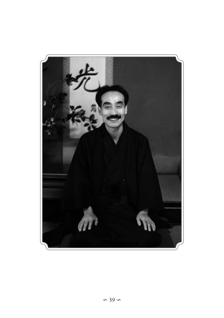